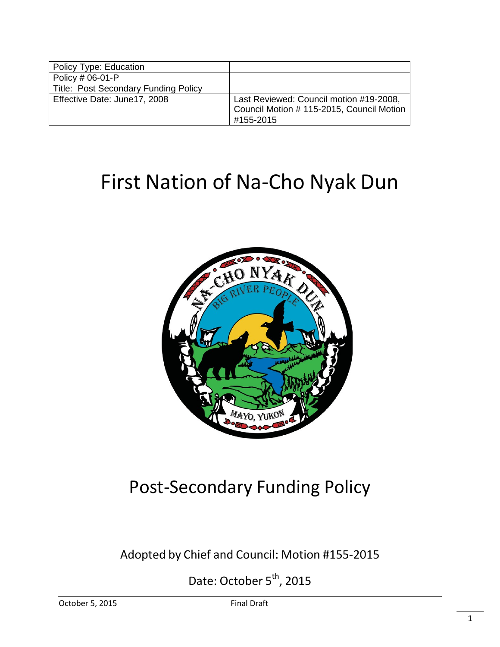| Policy Type: Education               |                                                                                                   |
|--------------------------------------|---------------------------------------------------------------------------------------------------|
| Policy # 06-01-P                     |                                                                                                   |
| Title: Post Secondary Funding Policy |                                                                                                   |
| Effective Date: June17, 2008         | Last Reviewed: Council motion #19-2008,<br>Council Motion # 115-2015, Council Motion<br>#155-2015 |

# First Nation of Na-Cho Nyak Dun



# Post-Secondary Funding Policy

Adopted by Chief and Council: Motion #155-2015

Date: October 5<sup>th</sup>, 2015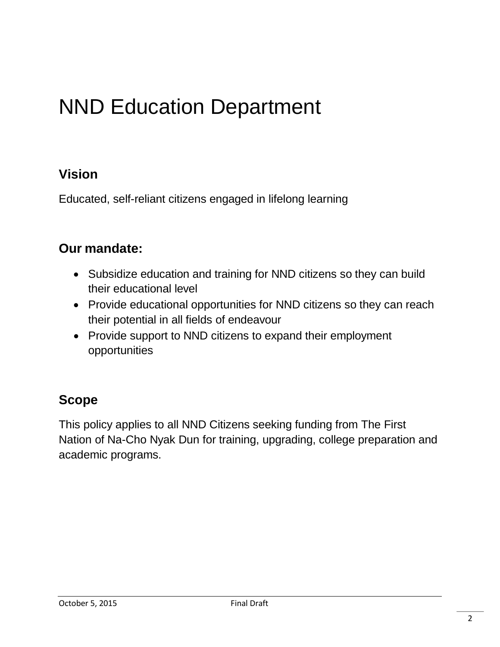# NND Education Department

# **Vision**

Educated, self-reliant citizens engaged in lifelong learning

# **Our mandate:**

- Subsidize education and training for NND citizens so they can build their educational level
- Provide educational opportunities for NND citizens so they can reach their potential in all fields of endeavour
- Provide support to NND citizens to expand their employment opportunities

# **Scope**

This policy applies to all NND Citizens seeking funding from The First Nation of Na-Cho Nyak Dun for training, upgrading, college preparation and academic programs.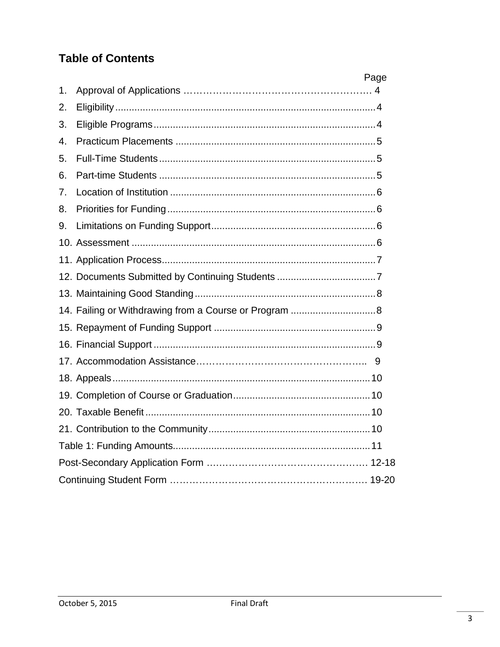# **Table of Contents**

|                  | Page |  |
|------------------|------|--|
| 1.               |      |  |
| 2.               |      |  |
| 3.               |      |  |
| $\overline{4}$ . |      |  |
| 5.               |      |  |
| 6.               |      |  |
| 7 <sub>1</sub>   |      |  |
| 8.               |      |  |
| 9.               |      |  |
|                  |      |  |
|                  |      |  |
|                  |      |  |
|                  |      |  |
|                  |      |  |
|                  |      |  |
|                  |      |  |
|                  |      |  |
|                  |      |  |
|                  |      |  |
|                  |      |  |
|                  |      |  |
|                  |      |  |
|                  |      |  |
|                  |      |  |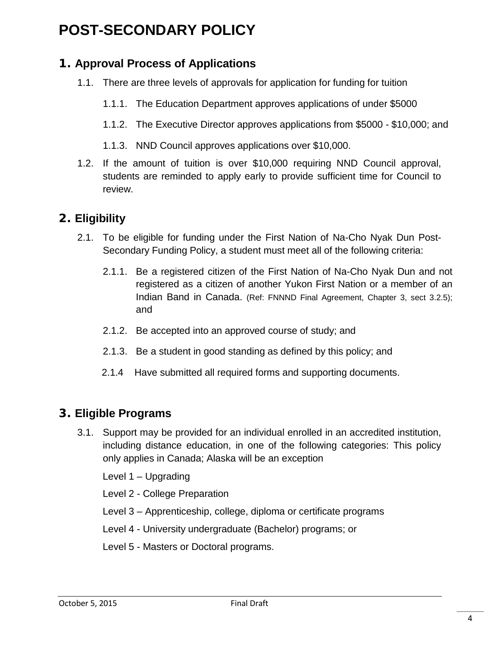# **POST-SECONDARY POLICY**

# **1. Approval Process of Applications**

- 1.1. There are three levels of approvals for application for funding for tuition
	- 1.1.1. The Education Department approves applications of under \$5000
	- 1.1.2. The Executive Director approves applications from \$5000 \$10,000; and
	- 1.1.3. NND Council approves applications over \$10,000.
- 1.2. If the amount of tuition is over \$10,000 requiring NND Council approval, students are reminded to apply early to provide sufficient time for Council to review.

## **2. Eligibility**

- 2.1. To be eligible for funding under the First Nation of Na-Cho Nyak Dun Post-Secondary Funding Policy, a student must meet all of the following criteria:
	- 2.1.1. Be a registered citizen of the First Nation of Na-Cho Nyak Dun and not registered as a citizen of another Yukon First Nation or a member of an Indian Band in Canada. (Ref: FNNND Final Agreement, Chapter 3, sect 3.2.5); and
	- 2.1.2. Be accepted into an approved course of study; and
	- 2.1.3. Be a student in good standing as defined by this policy; and
	- 2.1.4 Have submitted all required forms and supporting documents.

## <span id="page-3-0"></span>**3. Eligible Programs**

3.1. Support may be provided for an individual enrolled in an accredited institution, including distance education, in one of the following categories: This policy only applies in Canada; Alaska will be an exception

Level 1 – Upgrading

Level 2 - College Preparation

Level 3 – Apprenticeship, college, diploma or certificate programs

Level 4 - University undergraduate (Bachelor) programs; or

Level 5 - Masters or Doctoral programs.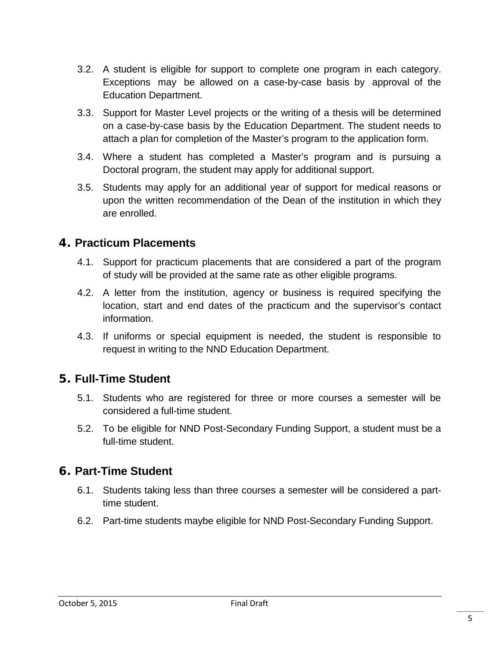- 3.2. A student is eligible for support to complete one program in each category. Exceptions may be allowed on a case-by-case basis by approval of the Education Department.
- 3.3. Support for Master Level projects or the writing of a thesis will be determined on a case-by-case basis by the Education Department. The student needs to attach a plan for completion of the Master's program to the application form.
- 3.4. Where a student has completed a Master's program and is pursuing a Doctoral program, the student may apply for additional support.
- 3.5. Students may apply for an additional year of support for medical reasons or upon the written recommendation of the Dean of the institution in which they are enrolled.

#### <span id="page-4-0"></span>**4. Practicum Placements**

- 4.1. Support for practicum placements that are considered a part of the program of study will be provided at the same rate as other eligible programs.
- 4.2. A letter from the institution, agency or business is required specifying the location, start and end dates of the practicum and the supervisor's contact information.
- 4.3. If uniforms or special equipment is needed, the student is responsible to request in writing to the NND Education Department.

#### **5. Full-Time Student**

- 5.1. Students who are registered for three or more courses a semester will be considered a full-time student.
- 5.2. To be eligible for NND Post-Secondary Funding Support, a student must be a full-time student.

#### **6. Part-Time Student**

- 6.1. Students taking less than three courses a semester will be considered a parttime student.
- 6.2. Part-time students maybe eligible for NND Post-Secondary Funding Support.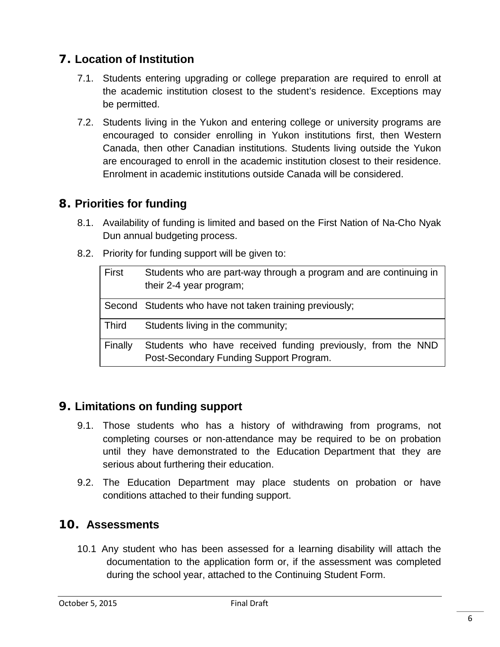# <span id="page-5-0"></span>**7. Location of Institution**

- 7.1. Students entering upgrading or college preparation are required to enroll at the academic institution closest to the student's residence. Exceptions may be permitted.
- 7.2. Students living in the Yukon and entering college or university programs are encouraged to consider enrolling in Yukon institutions first, then Western Canada, then other Canadian institutions. Students living outside the Yukon are encouraged to enroll in the academic institution closest to their residence. Enrolment in academic institutions outside Canada will be considered.

#### <span id="page-5-1"></span>**8. Priorities for funding**

- 8.1. Availability of funding is limited and based on the First Nation of Na-Cho Nyak Dun annual budgeting process.
- 8.2. Priority for funding support will be given to:

| First        | Students who are part-way through a program and are continuing in<br>their 2-4 year program;           |
|--------------|--------------------------------------------------------------------------------------------------------|
|              | Second Students who have not taken training previously;                                                |
| <b>Third</b> | Students living in the community;                                                                      |
| Finally      | Students who have received funding previously, from the NND<br>Post-Secondary Funding Support Program. |

#### <span id="page-5-2"></span>**9. Limitations on funding support**

- 9.1. Those students who has a history of withdrawing from programs, not completing courses or non-attendance may be required to be on probation until they have demonstrated to the Education Department that they are serious about furthering their education.
- 9.2. The Education Department may place students on probation or have conditions attached to their funding support.

#### **10. Assessments**

10.1 Any student who has been assessed for a learning disability will attach the documentation to the application form or, if the assessment was completed during the school year, attached to the Continuing Student Form.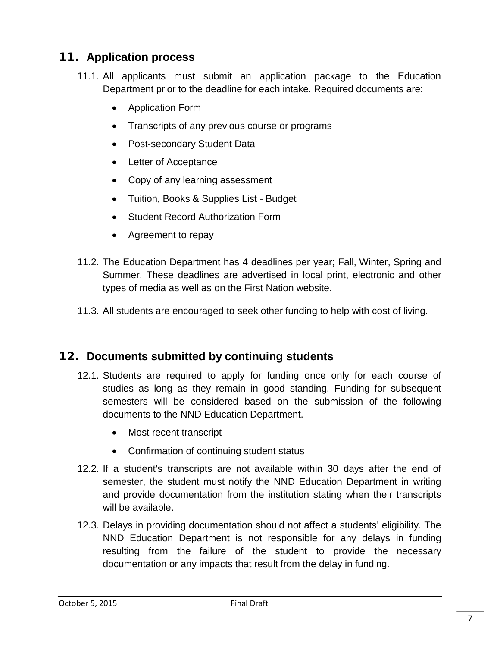# <span id="page-6-0"></span>**11. Application process**

- 11.1. All applicants must submit an application package to the Education Department prior to the deadline for each intake. Required documents are:
	- Application Form
	- Transcripts of any previous course or programs
	- Post-secondary Student Data
	- Letter of Acceptance
	- Copy of any learning assessment
	- Tuition, Books & Supplies List Budget
	- Student Record Authorization Form
	- Agreement to repay
- 11.2. The Education Department has 4 deadlines per year; Fall, Winter, Spring and Summer. These deadlines are advertised in local print, electronic and other types of media as well as on the First Nation website.
- 11.3. All students are encouraged to seek other funding to help with cost of living.

#### <span id="page-6-1"></span>**12. Documents submitted by continuing students**

- 12.1. Students are required to apply for funding once only for each course of studies as long as they remain in good standing. Funding for subsequent semesters will be considered based on the submission of the following documents to the NND Education Department.
	- Most recent transcript
	- Confirmation of continuing student status
- 12.2. If a student's transcripts are not available within 30 days after the end of semester, the student must notify the NND Education Department in writing and provide documentation from the institution stating when their transcripts will be available.
- 12.3. Delays in providing documentation should not affect a students' eligibility. The NND Education Department is not responsible for any delays in funding resulting from the failure of the student to provide the necessary documentation or any impacts that result from the delay in funding.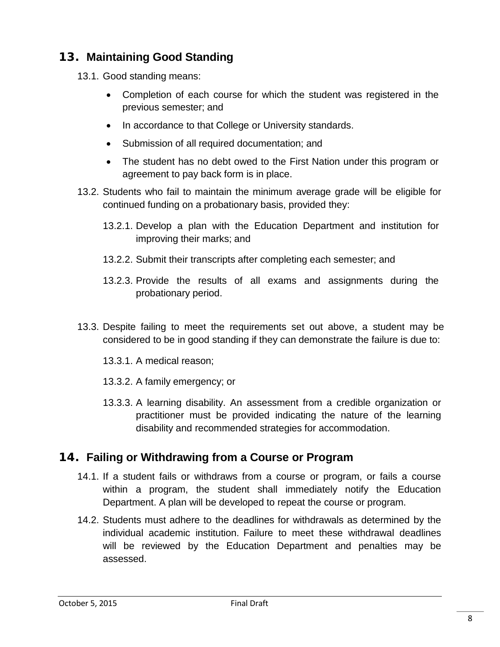# <span id="page-7-0"></span>**13. Maintaining Good Standing**

- 13.1. Good standing means:
	- Completion of each course for which the student was registered in the previous semester; and
	- In accordance to that College or University standards.
	- Submission of all required documentation; and
	- The student has no debt owed to the First Nation under this program or agreement to pay back form is in place.
- 13.2. Students who fail to maintain the minimum average grade will be eligible for continued funding on a probationary basis, provided they:
	- 13.2.1. Develop a plan with the Education Department and institution for improving their marks; and
	- 13.2.2. Submit their transcripts after completing each semester; and
	- 13.2.3. Provide the results of all exams and assignments during the probationary period.
- 13.3. Despite failing to meet the requirements set out above, a student may be considered to be in good standing if they can demonstrate the failure is due to:
	- 13.3.1. A medical reason;
	- 13.3.2. A family emergency; or
	- 13.3.3. A learning disability. An assessment from a credible organization or practitioner must be provided indicating the nature of the learning disability and recommended strategies for accommodation.

#### <span id="page-7-1"></span>**14. Failing or Withdrawing from a Course or Program**

- 14.1. If a student fails or withdraws from a course or program, or fails a course within a program, the student shall immediately notify the Education Department. A plan will be developed to repeat the course or program.
- 14.2. Students must adhere to the deadlines for withdrawals as determined by the individual academic institution. Failure to meet these withdrawal deadlines will be reviewed by the Education Department and penalties may be assessed.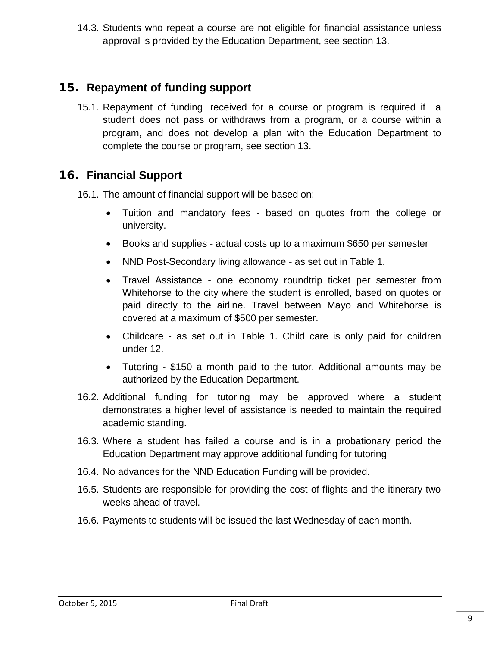14.3. Students who repeat a course are not eligible for financial assistance unless approval is provided by the Education Department, see section 13.

#### <span id="page-8-0"></span>**15. Repayment of funding support**

15.1. Repayment of funding received for a course or program is required if a student does not pass or withdraws from a program, or a course within a program, and does not develop a plan with the Education Department to complete the course or program, see section 13.

#### <span id="page-8-1"></span>**16. Financial Support**

16.1. The amount of financial support will be based on:

- Tuition and mandatory fees based on quotes from the college or university.
- Books and supplies actual costs up to a maximum \$650 per semester
- NND Post-Secondary living allowance as set out in Table 1.
- Travel Assistance one economy roundtrip ticket per semester from Whitehorse to the city where the student is enrolled, based on quotes or paid directly to the airline. Travel between Mayo and Whitehorse is covered at a maximum of \$500 per semester.
- Childcare as set out in Table 1. Child care is only paid for children under 12.
- Tutoring \$150 a month paid to the tutor. Additional amounts may be authorized by the Education Department.
- 16.2. Additional funding for tutoring may be approved where a student demonstrates a higher level of assistance is needed to maintain the required academic standing.
- 16.3. Where a student has failed a course and is in a probationary period the Education Department may approve additional funding for tutoring
- 16.4. No advances for the NND Education Funding will be provided.
- 16.5. Students are responsible for providing the cost of flights and the itinerary two weeks ahead of travel.
- 16.6. Payments to students will be issued the last Wednesday of each month.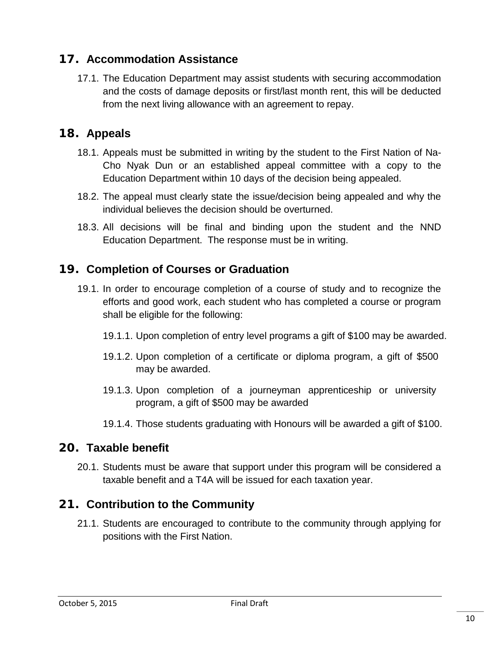#### **17. Accommodation Assistance**

17.1. The Education Department may assist students with securing accommodation and the costs of damage deposits or first/last month rent, this will be deducted from the next living allowance with an agreement to repay.

#### **18. Appeals**

- 18.1. Appeals must be submitted in writing by the student to the First Nation of Na-Cho Nyak Dun or an established appeal committee with a copy to the Education Department within 10 days of the decision being appealed.
- 18.2. The appeal must clearly state the issue/decision being appealed and why the individual believes the decision should be overturned.
- 18.3. All decisions will be final and binding upon the student and the NND Education Department. The response must be in writing.

#### **19. Completion of Courses or Graduation**

- 19.1. In order to encourage completion of a course of study and to recognize the efforts and good work, each student who has completed a course or program shall be eligible for the following:
	- 19.1.1. Upon completion of entry level programs a gift of \$100 may be awarded.
	- 19.1.2. Upon completion of a certificate or diploma program, a gift of \$500 may be awarded.
	- 19.1.3. Upon completion of a journeyman apprenticeship or university program, a gift of \$500 may be awarded
	- 19.1.4. Those students graduating with Honours will be awarded a gift of \$100.

#### <span id="page-9-0"></span>**20. Taxable benefit**

20.1. Students must be aware that support under this program will be considered a taxable benefit and a T4A will be issued for each taxation year.

#### <span id="page-9-1"></span>**21. Contribution to the Community**

21.1. Students are encouraged to contribute to the community through applying for positions with the First Nation.